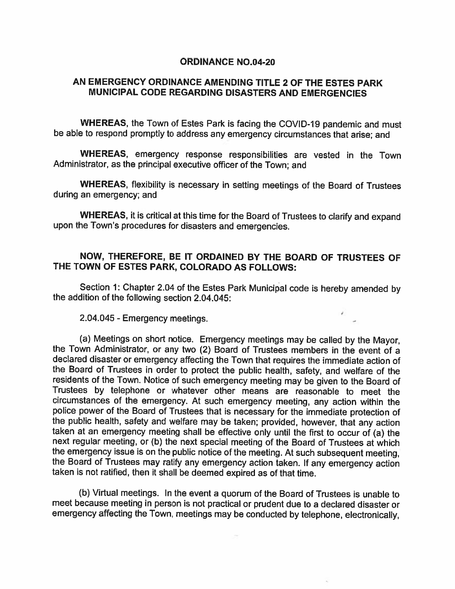## ORDINANCE NO.04-20

## AN EMERGENCY ORDINANCE AMENDING TITLE 2 OF THE ESTES PARK MUNICIPAL CODE REGARDING DISASTERS AND EMERGENCIES

WHEREAS, the Town of Estes Park is facing the COVID-19 pandemic and must be able to respond promptly to address any emergency circumstances that arise; and

WHEREAS, emergency response responsibilities are vested in the Town Administrator, as the principal executive officer of the Town; and

WHEREAS, flexibility is necessary in setting meetings of the Board of Trustees during an emergency; and

WHEREAS, it is critical at this time for the Board of Trustees to clarify and expand upon the Town's procedures for disasters and emergencies.

## NOW, THEREFORE, BE IT ORDAINED BY THE BOARD OF TRUSTEES OF THE TOWN OF ESTES PARK, COLORADO AS FOLLOWS:

Section 1: Chapter 2.04 of the Estes Park Municipal code is hereby amended by the addition of the following section 2.04.045:

2.04.045 -Emergency meetings.

(a) Meetings on short notice. Emergency meetings may be called by the Mayor, the Town Administrator, or any two (2) Board of Trustees members in the event of <sup>a</sup> declared disaster or emergency affecting the Town that requires the immediate action of the Board of Trustees in order to protect the public health, safety, and welfare of the residents of the Town. Notice of such emergency meeting may be <sup>g</sup>iven to the Board of Trustees by telephone or whatever other means are reasonable to meet the circumstances of the emergency. At such emergency meeting, any action within the police power of the Board of Trustees that is necessary for the immediate protection of the public health, safety and welfare may be taken; provided, however, that any action taken at an emergency meeting shall be effective only until the first to occur of (a) the next regular meeting, or (b) the next special meeting of the Board of Trustees at which the emergency issue is on the public notice of the meeting. At such subsequent meeting, the Board of Trustees may ratify any emergency action taken. If any emergency action taken is not ratified, then it shall be deemed expired as of that time.

(b) Virtual meetings. In the event <sup>a</sup> quorum of the Board of Trustees is unable to meet because meeting in person is not practical or prudent due to <sup>a</sup> declared disaster or emergency affecting the Town, meetings may be conducted by telephone, electronically,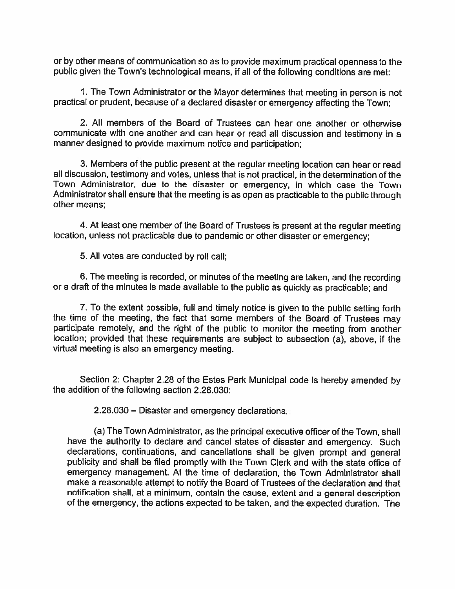or by other means of communication so as to provide maximum practical openness to the public given the Town's technological means, if all of the following conditions are met:

1. The Town Administrator or the Mayor determines that meeting in person is not practical or prudent, because of <sup>a</sup> declared disaster or emergency affecting the Town;

2. All members of the Board of Trustees can hear one another or otherwise communicate with one another and can hear or read all discussion and testimony in <sup>a</sup> manner designed to provide maximum notice and participation;

3. Members of the public present at the regular meeting location can hear or read all discussion, testimony and votes, unless that is not practical, in the determination of the Town Administrator, due to the disaster or emergency, in which case the Town Administrator shall ensure that the meeting is as open as practicable to the public through other means;

4. At least one member of the Board of Trustees is present at the regular meeting location, unless not practicable due to pandemic or other disaster or emergency;

5. All votes are conducted by roll call;

6. The meeting is recorded, or minutes of the meeting are taken, and the recording or <sup>a</sup> draft of the minutes is made available to the public as quickly as practicable; and

7. To the extent possible, full and timely notice is <sup>g</sup>iven to the public setting forth the time of the meeting, the fact that some members of the Board of Trustees may participate remotely, and the right of the public to monitor the meeting from another location; provided that these requirements are subject to subsection (a), above, if the virtual meeting is also an emergency meeting.

Section 2: Chapter 2.28 of the Estes Park Municipal code is hereby amended by the addition of the following section 2.28.030:

2.28.030 — Disaster and emergency declarations.

(a) The Town Administrator, as the principal executive officer of the Town, shall have the authority to declare and cancel states of disaster and emergency. Such declarations, continuations, and cancellations shall be <sup>g</sup>iven promp<sup>t</sup> and general publicity and shall be filed promptly with the Town Clerk and with the state office of emergency management. At the time of declaration, the Town Administrator shall make <sup>a</sup> reasonable attempt to notify the Board of Trustees of the declaration and that notification shall, at <sup>a</sup> minimum, contain the cause, extent and <sup>a</sup> general description of the emergency, the actions expected to be taken, and the expected duration. The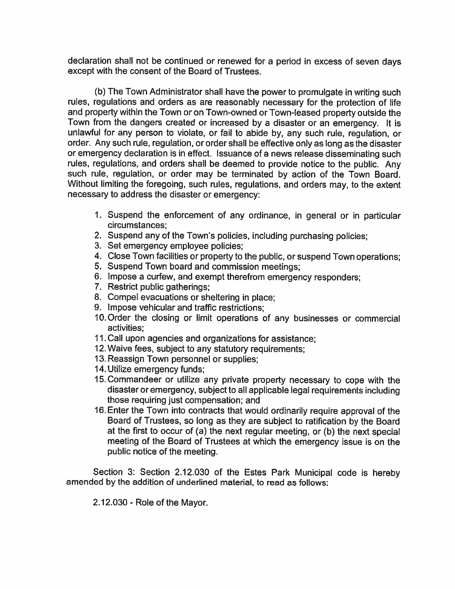declaration shall not be continued or renewed for <sup>a</sup> period in excess of seven days except with the consent of the Board of Trustees.

(b) The Town Administrator shall have the power to promulgate in writing such rules, regulations and orders as are reasonably necessary for the protection of life and property within the Town or on Town-owned or Town-leased property outside the Town from the dangers created or increased by <sup>a</sup> disaster or an emergency. It is unlawful for any person to violate, or fail to abide by, any such rule, regulation, or order. Any such rule, regulation, or order shall be effective only as long as the disaster or emergency declaration is in effect. Issuance of <sup>a</sup> news release disseminating such rules, regulations, and orders shall be deemed to provide notice to the public. Any such rule, regulation, or order may be terminated by action of the Town Board. Without limiting the foregoing, such rules, regulations, and orders may, to the extent necessary to address the disaster or emergency:

- 1. Suspend the enforcement of any ordinance, in general or in particular circumstances;
- 2. Suspend any of the Town's policies, including purchasing policies;
- 3. Set emergency employee policies;
- 4. Close Town facilities or property to the public, or suspend Town operations;
- 5. Suspend Town board and commission meetings;
- 6. Impose <sup>a</sup> curfew, and exempt therefrom emergency responders;
- 7. Restrict public gatherings;
- 8. Compel evacuations or sheltering in place;
- 9. Impose vehicular and traffic restrictions;
- 1O.Order the closing or limit operations of any businesses or commercial activities;
- 11. Call upon agencies and organizations for assistance;
- 12. Waive fees, subject to any statutory requirements;
- 13. Reassign Town personnel or supplies;
- 14. Utilize emergency funds;
- 15.Commandeer or utilize any private property necessary to cope with the disaster or emergency, subject to all applicable legal requirements including those requiring just compensation; and
- 16. Enter the Town into contracts that would ordinarily require approva<sup>l</sup> of the Board of Trustees, so long as they are subject to ratification by the Board at the first to occur of (a) the next regular meeting, or (b) the next special meeting of the Board of Trustees at which the emergency issue is on the public notice of the meeting.

Section 3: Section 2.12.030 of the Estes Park Municipal code is hereby amended by the addition of underlined material, to read as follows:

 $2.12.030$  - Role of the Mayor.